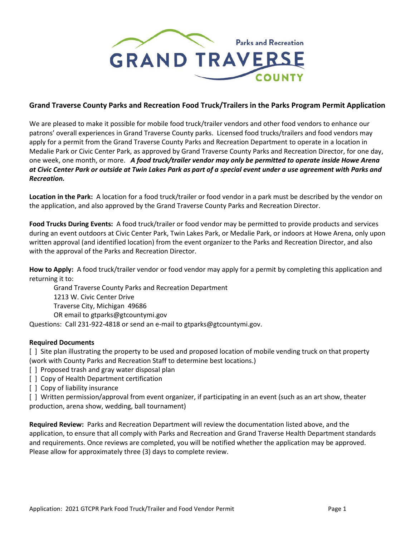

## **Grand Traverse County Parks and Recreation Food Truck/Trailers in the Parks Program Permit Application**

We are pleased to make it possible for mobile food truck/trailer vendors and other food vendors to enhance our patrons' overall experiences in Grand Traverse County parks. Licensed food trucks/trailers and food vendors may apply for a permit from the Grand Traverse County Parks and Recreation Department to operate in a location in Medalie Park or Civic Center Park, as approved by Grand Traverse County Parks and Recreation Director, for one day, one week, one month, or more. *A food truck/trailer vendor may only be permitted to operate inside Howe Arena at Civic Center Park or outside at Twin Lakes Park as part of a special event under a use agreement with Parks and Recreation.*

**Location in the Park:** A location for a food truck/trailer or food vendor in a park must be described by the vendor on the application, and also approved by the Grand Traverse County Parks and Recreation Director.

**Food Trucks During Events:** A food truck/trailer or food vendor may be permitted to provide products and services during an event outdoors at Civic Center Park, Twin Lakes Park, or Medalie Park, or indoors at Howe Arena, only upon written approval (and identified location) from the event organizer to the Parks and Recreation Director, and also with the approval of the Parks and Recreation Director.

**How to Apply:** A food truck/trailer vendor or food vendor may apply for a permit by completing this application and returning it to:

Grand Traverse County Parks and Recreation Department

1213 W. Civic Center Drive

Traverse City, Michigan 49686

OR email to gtparks@gtcountymi.gov

Questions: Call 231-922-4818 or send an e-mail to gtparks@gtcountymi.gov.

### **Required Documents**

[ ] Site plan illustrating the property to be used and proposed location of mobile vending truck on that property (work with County Parks and Recreation Staff to determine best locations.)

- [ ] Proposed trash and gray water disposal plan
- [ ] Copy of Health Department certification
- [ ] Copy of liability insurance

[ ] Written permission/approval from event organizer, if participating in an event (such as an art show, theater production, arena show, wedding, ball tournament)

**Required Review:** Parks and Recreation Department will review the documentation listed above, and the application, to ensure that all comply with Parks and Recreation and Grand Traverse Health Department standards and requirements. Once reviews are completed, you will be notified whether the application may be approved. Please allow for approximately three (3) days to complete review.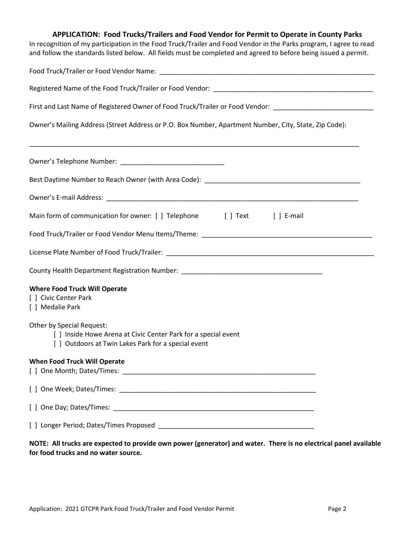# **APPLICATION: Food Trucks/Trailers and Food Vendor for Permit to Operate in County Parks** In recognition of my participation in the Food Truck/Trailer and Food Vendor in the Parks program, I agree to read and follow the standards listed below. All fields must be completed and agreed to before being issued a permit. Food Truck/Trailer or Food Vendor Name: \_\_\_\_\_\_\_\_\_\_\_\_\_\_\_\_\_\_\_\_\_\_\_\_\_\_\_\_\_\_\_\_\_\_\_\_\_\_\_\_\_\_\_\_\_\_\_\_\_\_\_\_\_\_\_\_\_\_ Registered Name of the Food Truck/Trailer or Food Vendor: \_\_\_\_\_\_\_\_\_\_\_\_\_\_\_\_\_\_\_\_\_\_\_\_\_\_\_\_\_\_\_\_\_\_\_\_\_\_\_\_\_\_\_ First and Last Name of Registered Owner of Food Truck/Trailer or Food Vendor: Owner's Mailing Address (Street Address or P.O. Box Number, Apartment Number, City, State, Zip Code): \_\_\_\_\_\_\_\_\_\_\_\_\_\_\_\_\_\_\_\_\_\_\_\_\_\_\_\_\_\_\_\_\_\_\_\_\_\_\_\_\_\_\_\_\_\_\_\_\_\_\_\_\_\_\_\_\_\_\_\_\_\_\_\_\_\_\_\_\_\_\_\_\_\_\_\_\_\_\_\_\_\_\_\_\_\_\_\_\_ Owner's Telephone Number: \_\_\_\_\_\_\_\_\_\_\_\_\_\_\_\_\_\_\_\_\_\_\_\_\_\_\_\_ Best Daytime Number to Reach Owner (with Area Code): \_\_\_\_\_\_\_\_\_\_\_\_\_\_\_\_\_\_\_\_\_\_\_\_\_\_\_\_ Owner's E-mail Address: \_\_\_\_\_\_\_\_\_\_\_\_\_\_\_\_\_\_\_\_\_\_\_\_\_\_\_\_\_\_\_\_\_\_\_\_\_\_\_\_\_\_\_\_\_\_\_\_\_\_\_\_\_\_\_\_\_\_\_\_\_\_\_\_\_\_\_\_ Main form of communication for owner: [ ] Telephone [ ] Text [ ] E-mail Food Truck/Trailer or Food Vendor Menu Items/Theme: \_\_\_\_\_\_\_\_\_\_\_\_\_\_\_\_\_\_\_\_\_\_\_\_\_\_\_\_\_\_\_\_\_\_\_\_\_\_\_\_\_\_\_\_\_\_ License Plate Number of Food Truck/Trailer: \_\_\_\_\_\_\_\_\_\_\_\_\_\_\_\_\_\_\_\_\_\_\_\_\_\_\_\_\_\_\_\_\_\_\_\_\_\_\_\_\_\_\_\_\_\_\_\_\_\_\_\_\_\_\_\_ County Health Department Registration Number: \_\_\_\_\_\_\_\_\_\_\_\_\_\_\_\_\_\_\_\_\_\_\_\_\_\_\_\_\_\_\_\_\_\_ **Where Food Truck Will Operate** [ ] Civic Center Park [ ] Medalie Park Other by Special Request: [ ] Inside Howe Arena at Civic Center Park for a special event [ ] Outdoors at Twin Lakes Park for a special event **When Food Truck Will Operate** [ ] One Month; Dates/Times: \_\_\_\_\_\_\_\_\_\_\_\_\_\_\_\_\_\_\_\_\_\_\_\_\_\_\_\_\_\_\_\_\_\_\_\_\_\_\_\_\_\_\_\_\_\_\_\_\_\_\_\_ [ ] One Week; Dates/Times: \_\_\_\_\_\_\_\_\_\_\_\_\_\_\_\_\_\_\_\_\_\_\_\_\_\_\_\_\_\_\_\_\_\_\_\_\_\_\_\_\_\_\_\_\_\_\_\_\_\_\_\_\_ [ ] One Day; Dates/Times:  $\Box$ [ ] Longer Period; Dates/Times Proposed **Land Constants and Constants Proposed**

## **NOTE: All trucks are expected to provide own power (generator) and water. There is no electrical panel available for food trucks and no water source.**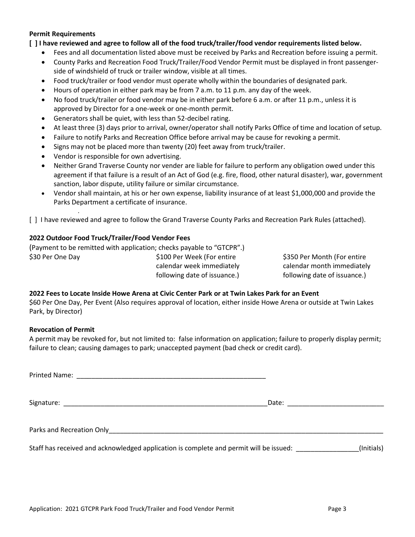#### **Permit Requirements**

**[ ] I have reviewed and agree to follow all of the food truck/trailer/food vendor requirements listed below.**

- Fees and all documentation listed above must be received by Parks and Recreation before issuing a permit.
- County Parks and Recreation Food Truck/Trailer/Food Vendor Permit must be displayed in front passengerside of windshield of truck or trailer window, visible at all times.
- Food truck/trailer or food vendor must operate wholly within the boundaries of designated park.
- Hours of operation in either park may be from 7 a.m. to 11 p.m. any day of the week.
- No food truck/trailer or food vendor may be in either park before 6 a.m. or after 11 p.m., unless it is approved by Director for a one-week or one-month permit.
- Generators shall be quiet, with less than 52-decibel rating.
- At least three (3) days prior to arrival, owner/operator shall notify Parks Office of time and location of setup.
- Failure to notify Parks and Recreation Office before arrival may be cause for revoking a permit.
- Signs may not be placed more than twenty (20) feet away from truck/trailer.
- Vendor is responsible for own advertising.
- Neither Grand Traverse County nor vender are liable for failure to perform any obligation owed under this agreement if that failure is a result of an Act of God (e.g. fire, flood, other natural disaster), war, government sanction, labor dispute, utility failure or similar circumstance.
- Vendor shall maintain, at his or her own expense, liability insurance of at least \$1,000,000 and provide the Parks Department a certificate of insurance.

[ ] I have reviewed and agree to follow the Grand Traverse County Parks and Recreation Park Rules (attached).

### **2022 Outdoor Food Truck/Trailer/Food Vendor Fees**

*.*

|                  | (Payment to be remitted with application; checks payable to "GTCPR".) |
|------------------|-----------------------------------------------------------------------|
| \$30 Per One Day | \$100 Per Week (For entire                                            |
|                  | ralandar waak immadistaly                                             |

calendar week immediately following date of issuance.)

\$350 Per Month (For entire calendar month immediately following date of issuance.)

#### **2022 Fees to Locate Inside Howe Arena at Civic Center Park or at Twin Lakes Park for an Event**

\$60 Per One Day, Per Event (Also requires approval of location, either inside Howe Arena or outside at Twin Lakes Park, by Director)

### **Revocation of Permit**

A permit may be revoked for, but not limited to: false information on application; failure to properly display permit; failure to clean; causing damages to park; unaccepted payment (bad check or credit card).

|                                                                                        | Date: <u>Date: Experience</u> |
|----------------------------------------------------------------------------------------|-------------------------------|
|                                                                                        |                               |
| Staff has received and acknowledged application is complete and permit will be issued: | (Initials)                    |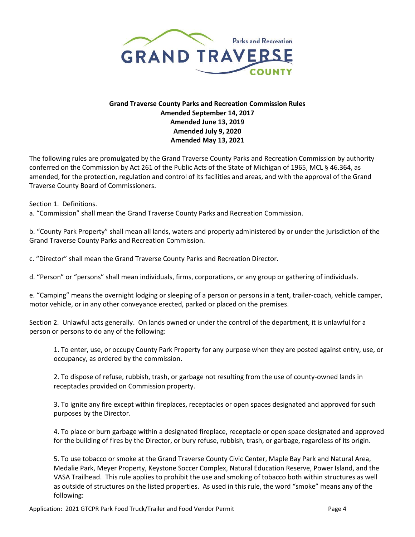

## **Grand Traverse County Parks and Recreation Commission Rules Amended September 14, 2017 Amended June 13, 2019 Amended July 9, 2020 Amended May 13, 2021**

The following rules are promulgated by the Grand Traverse County Parks and Recreation Commission by authority conferred on the Commission by Act 261 of the Public Acts of the State of Michigan of 1965, MCL § 46.364, as amended, for the protection, regulation and control of its facilities and areas, and with the approval of the Grand Traverse County Board of Commissioners.

Section 1. Definitions.

a. "Commission" shall mean the Grand Traverse County Parks and Recreation Commission.

b. "County Park Property" shall mean all lands, waters and property administered by or under the jurisdiction of the Grand Traverse County Parks and Recreation Commission.

c. "Director" shall mean the Grand Traverse County Parks and Recreation Director.

d. "Person" or "persons" shall mean individuals, firms, corporations, or any group or gathering of individuals.

e. "Camping" means the overnight lodging or sleeping of a person or persons in a tent, trailer-coach, vehicle camper, motor vehicle, or in any other conveyance erected, parked or placed on the premises.

Section 2. Unlawful acts generally.On lands owned or under the control of the department, it is unlawful for a person or persons to do any of the following:

1. To enter, use, or occupy County Park Property for any purpose when they are posted against entry, use, or occupancy, as ordered by the commission.

2. To dispose of refuse, rubbish, trash, or garbage not resulting from the use of county-owned lands in receptacles provided on Commission property.

3. To ignite any fire except within fireplaces, receptacles or open spaces designated and approved for such purposes by the Director.

4. To place or burn garbage within a designated fireplace, receptacle or open space designated and approved for the building of fires by the Director, or bury refuse, rubbish, trash, or garbage, regardless of its origin.

5. To use tobacco or smoke at the Grand Traverse County Civic Center, Maple Bay Park and Natural Area, Medalie Park, Meyer Property, Keystone Soccer Complex, Natural Education Reserve, Power Island, and the VASA Trailhead. This rule applies to prohibit the use and smoking of tobacco both within structures as well as outside of structures on the listed properties. As used in this rule, the word "smoke" means any of the following: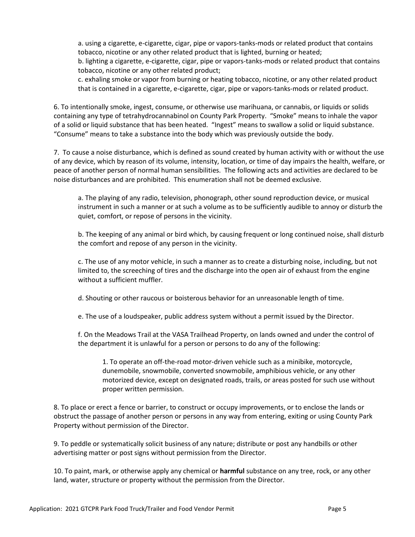a. using a cigarette, e-cigarette, cigar, pipe or vapors-tanks-mods or related product that contains tobacco, nicotine or any other related product that is lighted, burning or heated;

b. lighting a cigarette, e-cigarette, cigar, pipe or vapors-tanks-mods or related product that contains tobacco, nicotine or any other related product;

c. exhaling smoke or vapor from burning or heating tobacco, nicotine, or any other related product that is contained in a cigarette, e-cigarette, cigar, pipe or vapors-tanks-mods or related product.

6. To intentionally smoke, ingest, consume, or otherwise use marihuana, or cannabis, or liquids or solids containing any type of tetrahydrocannabinol on County Park Property. "Smoke" means to inhale the vapor of a solid or liquid substance that has been heated. "Ingest" means to swallow a solid or liquid substance. "Consume" means to take a substance into the body which was previously outside the body.

7. To cause a noise disturbance, which is defined as sound created by human activity with or without the use of any device, which by reason of its volume, intensity, location, or time of day impairs the health, welfare, or peace of another person of normal human sensibilities. The following acts and activities are declared to be noise disturbances and are prohibited. This enumeration shall not be deemed exclusive.

a. The playing of any radio, television, phonograph, other sound reproduction device, or musical instrument in such a manner or at such a volume as to be sufficiently audible to annoy or disturb the quiet, comfort, or repose of persons in the vicinity.

b. The keeping of any animal or bird which, by causing frequent or long continued noise, shall disturb the comfort and repose of any person in the vicinity.

c. The use of any motor vehicle, in such a manner as to create a disturbing noise, including, but not limited to, the screeching of tires and the discharge into the open air of exhaust from the engine without a sufficient muffler.

d. Shouting or other raucous or boisterous behavior for an unreasonable length of time.

e. The use of a loudspeaker, public address system without a permit issued by the Director.

f. On the Meadows Trail at the VASA Trailhead Property, on lands owned and under the control of the department it is unlawful for a person or persons to do any of the following:

1. To operate an off-the-road motor-driven vehicle such as a minibike, motorcycle, dunemobile, snowmobile, converted snowmobile, amphibious vehicle, or any other motorized device, except on designated roads, trails, or areas posted for such use without proper written permission.

8. To place or erect a fence or barrier, to construct or occupy improvements, or to enclose the lands or obstruct the passage of another person or persons in any way from entering, exiting or using County Park Property without permission of the Director.

9. To peddle or systematically solicit business of any nature; distribute or post any handbills or other advertising matter or post signs without permission from the Director.

10. To paint, mark, or otherwise apply any chemical or **harmful** substance on any tree, rock, or any other land, water, structure or property without the permission from the Director.